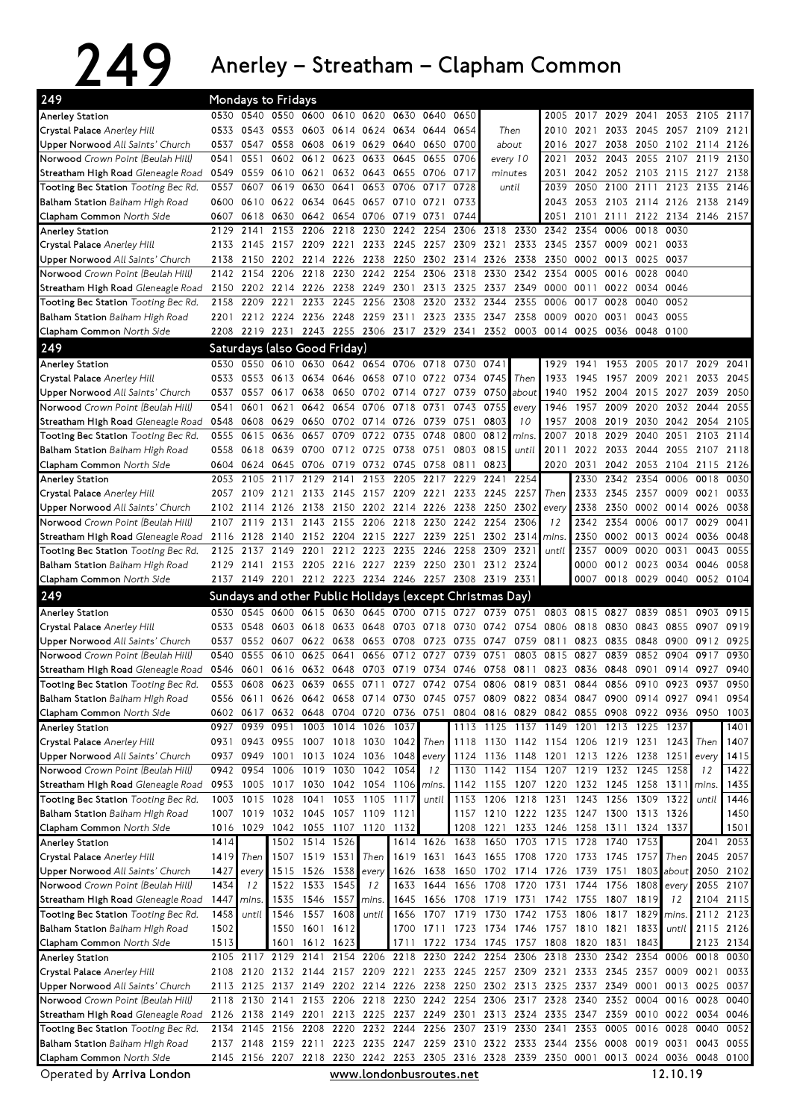## 249 Anerley – Streatham – Clapham Common

| 249                                                                   |              | Mondays to Fridays |           |                   |                              |                                                                                              |              |                |                        |                                                                                |                |                          |                |                   |                          |                |                               |                   |
|-----------------------------------------------------------------------|--------------|--------------------|-----------|-------------------|------------------------------|----------------------------------------------------------------------------------------------|--------------|----------------|------------------------|--------------------------------------------------------------------------------|----------------|--------------------------|----------------|-------------------|--------------------------|----------------|-------------------------------|-------------------|
| Anerley Station                                                       |              |                    |           |                   |                              | 0530 0540 0550 0600 0610 0620 0630 0640 0650                                                 |              |                |                        |                                                                                |                | 2005                     |                |                   |                          |                | 2017 2029 2041 2053 2105 2117 |                   |
| Crystal Palace Anerley Hill                                           | 0533         | 0543               | 0553      |                   |                              | 0603 0614 0624                                                                               | 0634         | 0644           | 0654                   | Then                                                                           |                | 2010                     | 2021           |                   | 2033 2045 2057 2109      |                |                               | 2121              |
| Upper Norwood All Saints' Church                                      | 0537         | 0547               |           |                   |                              | 0558 0608 0619 0629 0640 0650 0700                                                           |              |                |                        | about                                                                          |                | 2016                     | 2027           |                   | 2038 2050 2102 2114      |                |                               | 2126              |
| Norwood Crown Point (Beulah Hill)                                     | 0541         | 0551               | 0602      |                   |                              | 0612 0623 0633 0645                                                                          |              | 0655           | 0706                   | every 10                                                                       |                | 2021                     | 2032           |                   | 2043 2055 2107 2119      |                |                               | 2130              |
| Streatham High Road Gleneagle Road                                    | 0549         |                    |           |                   |                              | 0559 0610 0621 0632 0643 0655 0706 0717                                                      |              |                |                        | minutes                                                                        |                | 2031                     |                |                   |                          |                | 2042 2052 2103 2115 2127 2138 |                   |
| Tooting Bec Station Tooting Bec Rd.                                   | 0557         | 0607               | 0619      | 0630              | 0641                         |                                                                                              | 0653 0706    | 0717           | 0728                   | until                                                                          |                | 2039                     |                |                   | 2050 2100 2111 2123 2135 |                |                               | 2146              |
| Balham Station Balham High Road                                       | 0600         |                    | 0610 0622 | 0634              |                              | 0645 0657 0710                                                                               |              | 0721           | 0733                   |                                                                                |                | 2043                     |                |                   | 2053 2103 2114 2126 2138 |                |                               | 2149              |
| Clapham Common North Side                                             | 0607         |                    | 0618 0630 |                   |                              | 0642 0654 0706                                                                               | 0719         | 0731           | 0744                   |                                                                                |                | 2051                     | 2101           | 2111              |                          |                | 2122 2134 2146 2157           |                   |
| <b>Anerley Station</b>                                                | 2129         | 2141               | 2153      | 2206              | 2218                         | 2230                                                                                         | 2242         | 2254           |                        | 2306 2318 2330                                                                 |                | 2342                     | 2354           | 0006              | 0018                     | 0030           |                               |                   |
| Crystal Palace Anerley Hill                                           |              |                    |           |                   |                              | 2133 2145 2157 2209 2221 2233 2245 2257 2309 2321 2333 2345 2357<br>2150 2202 2214 2226 2238 |              |                |                        |                                                                                |                |                          |                | 0009              | 0021                     | 0033<br>0037   |                               |                   |
| Upper Norwood All Saints' Church<br>Norwood Crown Point (Beulah Hill) | 2138<br>2142 | 2154               | 2206      | 2218              | 2230                         | 2242                                                                                         | 2254         | 2306           | 2318                   | 2250 2302 2314 2326 2338 2350 0002 0013<br>2330                                | 2342           | 2354                     | 0005           | 0016              | 0025<br>0028             | 0040           |                               |                   |
| Streatham High Road Gleneagle Road                                    | 2150         |                    |           |                   |                              | 2202 2214 2226 2238 2249                                                                     | 2301         |                | 2313 2325              | 2337 2349                                                                      |                | 0000 0011                |                |                   | 0022 0034 0046           |                |                               |                   |
| Tooting Bec Station Tooting Bec Rd.                                   | 2158         | 2209 2221          |           |                   | 2233 2245 2256               |                                                                                              | 2308         |                | 2320 2332 2344         |                                                                                | 2355           | 0006                     | 0017           | 0028              | 0040                     | 0052           |                               |                   |
| <b>Balham Station</b> Balham High Road                                | 2201         |                    |           |                   |                              | 2212 2224 2236 2248 2259 2311                                                                |              |                |                        | 2323 2335 2347 2358 0009                                                       |                |                          | 0020           | 0031              |                          | 0043 0055      |                               |                   |
| Clapham Common North Side                                             |              |                    |           |                   |                              | 2208 2219 2231 2243 2255 2306 2317 2329 2341 2352 0003 0014 0025                             |              |                |                        |                                                                                |                |                          |                | 0036              | 0048 0100                |                |                               |                   |
| 249                                                                   |              |                    |           |                   | Saturdays (also Good Friday) |                                                                                              |              |                |                        |                                                                                |                |                          |                |                   |                          |                |                               |                   |
| <b>Anerley Station</b>                                                | 0530         |                    |           |                   |                              | 0550 0610 0630 0642 0654 0706 0718 0730 0741                                                 |              |                |                        |                                                                                |                | 1929                     | 1941           |                   | 1953 2005 2017 2029      |                |                               | 2041              |
| Crystal Palace Anerley Hill                                           | 0533         | 0553 0613          |           | 0634              |                              | 0646 0658 0710 0722 0734                                                                     |              |                |                        | 0745                                                                           | Then           | 1933                     | 1945           |                   | 1957 2009 2021           |                | 2033                          | 2045              |
| Upper Norwood All Saints' Church                                      | 0537         | 0557               |           | 0617 0638         |                              | 0650 0702 0714 0727 0739                                                                     |              |                |                        | 0750                                                                           | about          | 1940                     |                |                   | 1952 2004 2015 2027      |                | 2039                          | 2050              |
| Norwood Crown Point (Beulah Hill)                                     | 0541         | 0601               | 0621      | 0642              |                              | 0654 0706                                                                                    | 0718         | 0731           | 0743                   | 0755                                                                           | every          | 1946                     | 1957           | 2009              |                          | 2020 2032      | 2044                          | 2055              |
| Streatham High Road Gleneagle Road                                    | 0548         | 0608 0629          |           |                   |                              | 0650 0702 0714 0726                                                                          |              | 0739 0751      |                        | 0803                                                                           | 10             | 1957                     | 2008           | 2019              |                          | 2030 2042      | 2054                          | 2105              |
| Tooting Bec Station Tooting Bec Rd.                                   | 0555         | 0615               | 0636      | 0657              |                              | 0709 0722 0735                                                                               |              | 0748           | 0800                   | 0812                                                                           | mins.          | 2007                     | 2018           | 2029              | 2040                     | 2051           | 2103                          | 2114              |
| Balham Station Balham High Road                                       | 0558         |                    | 0618 0639 |                   |                              | 0700 0712 0725 0738 0751                                                                     |              |                | 0803                   | 0815                                                                           | until          | 2011                     |                |                   | 2022 2033 2044 2055      |                | 2107                          | 2118              |
| Clapham Common North Side                                             | 0604         | 0624               | 0645      |                   |                              | 0706 0719 0732 0745                                                                          |              | 0758 0811      |                        | 0823                                                                           |                | 2020                     | 2031           |                   | 2042 2053 2104           |                | 2115                          | 2126              |
| <b>Anerley Station</b>                                                | 2053         | 2105               | 2117      | 2129              | 2141                         | 2153                                                                                         | 2205         | 2217 2229      |                        | 2241                                                                           | 2254           |                          | 2330           | 2342              | 2354 0006                |                | 0018                          | 0030              |
| Crystal Palace Anerley Hill                                           |              | 2057 2109 2121     |           |                   |                              | 2133 2145 2157 2209 2221 2233                                                                |              |                |                        | 2245                                                                           | 2257           | Then                     | 2333           |                   | 2345 2357 0009           |                | 0021                          | 0033              |
| Upper Norwood All Saints' Church                                      |              |                    |           |                   |                              | 2102 2114 2126 2138 2150 2202 2214 2226 2238                                                 |              |                |                        | 2250 2302                                                                      |                | every                    | 2338           |                   | 2350 0002 0014 0026      |                |                               | 0038              |
| Norwood Crown Point (Beulah Hill)                                     |              |                    |           |                   |                              | 2107 2119 2131 2143 2155 2206 2218 2230 2242                                                 |              |                |                        | 2254                                                                           | 2306           | 12                       | 2342           | 2354              |                          | 0006 0017 0029 |                               | 0041              |
| Streatham High Road Gleneagle Road                                    |              | 2116 2128 2140     |           |                   |                              | 2152 2204 2215 2227 2239 2251                                                                |              |                |                        | 2302 2314                                                                      |                | mins.                    | 2350           |                   | 0002 0013 0024 0036      |                |                               | 0048              |
| Tooting Bec Station Tooting Bec Rd.                                   | 2125         |                    |           |                   |                              | 2137 2149 2201 2212 2223 2235                                                                |              | 2246 2258      |                        | 2309                                                                           | 2321           | until                    | 2357           | 0009              |                          | 0020 0031      | 0043                          | 0055              |
| Balham Station Balham High Road                                       | 2129         |                    |           |                   |                              | 2141 2153 2205 2216 2227 2239                                                                |              |                |                        | 2250 2301 2312 2324                                                            |                |                          | 0000           |                   | 0012 0023 0034           |                | 0046                          | 0058              |
| Clapham Common North Side                                             |              |                    |           |                   |                              | 2137 2149 2201 2212 2223 2234 2246 2257 2308 2319 2331                                       |              |                |                        |                                                                                |                |                          |                |                   |                          |                | 0007 0018 0029 0040 0052 0104 |                   |
| 249                                                                   |              |                    |           |                   |                              |                                                                                              |              |                |                        | Sundays and other Public Holidays (except Christmas Day)                       |                |                          |                |                   |                          |                |                               |                   |
|                                                                       |              |                    |           |                   |                              |                                                                                              |              |                |                        |                                                                                |                |                          |                |                   |                          |                |                               |                   |
| <b>Anerley Station</b>                                                | 0530         |                    |           |                   |                              | 0545 0600 0615 0630 0645 0700 0715 0727 0739 0751                                            |              |                |                        |                                                                                |                |                          | 0803 0815 0827 |                   |                          | 0839 0851      | 0903                          | 0915              |
| Crystal Palace Anerley Hill                                           |              |                    |           |                   |                              | 0533 0548 0603 0618 0633 0648                                                                |              |                |                        | 0703 0718 0730 0742 0754 0806 0818                                             |                |                          |                | 0830              | 0843                     | 0855           | 0907                          | 0919              |
| Upper Norwood All Saints' Church                                      | 0537         |                    |           |                   |                              | 0552 0607 0622 0638 0653 0708                                                                |              |                | 0723 0735              | 0747 0759 0811                                                                 |                |                          | 0823           | 0835              | 0848                     | 0900           | 0912                          | 0925              |
| Norwood Crown Point (Beulah Hill)                                     | 0540         | 0555               | 0610      | 0625              | 0641                         | 0656                                                                                         | 0712 0727    |                | 0739                   | 0751                                                                           | 0803           | 0815                     | 0827           | 0839              |                          | 0852 0904      | 0917                          | 0930              |
| Streatham High Road Gleneagle Road                                    |              |                    |           |                   |                              | 0546 0601 0616 0632 0648 0703 0719 0734 0746                                                 |              |                |                        | 0758 0811                                                                      |                |                          | 0823 0836      | 0848              | 0901                     | 0914           | 0927                          | 0940              |
| Tooting Bec Station Tooting Bec Rd.                                   | 0553         | 0608               |           |                   | 0623 0639 0655 0711          |                                                                                              | 0727         |                | 0742 0754              |                                                                                | 0806 0819 0831 |                          | 0844           |                   | 0856 0910                | 0923           | 0937                          | 0950              |
| <b>Balham Station</b> Balham High Road                                |              |                    |           |                   |                              | 0556 0611 0626 0642 0658 0714 0730 0745 0757 0809 0822 0834 0847 0900 0914 0927 0941         |              |                |                        |                                                                                |                |                          |                |                   |                          |                |                               | 0954              |
| Clapham Common North Side                                             |              | 0602 0617          |           |                   |                              | 0632 0648 0704 0720                                                                          | 0736 0751    |                |                        | 0804 0816 0829 0842 0855 0908 0922 0936 0950                                   |                |                          |                |                   |                          |                |                               | 1003              |
| <b>Anerley Station</b>                                                |              | 0927 0939 0951     |           |                   | 1003 1014 1026               |                                                                                              | 1037         |                |                        | 1113 1125 1137 1149 1201 1213 1225 1237                                        |                |                          |                |                   |                          |                |                               | 1401              |
| Crystal Palace Anerley Hill<br>Upper Norwood All Saints' Church       |              | 0937 0949          | 1001      |                   |                              | 0931 0943 0955 1007 1018 1030<br>1013 1024 1036                                              | 1042<br>1048 | Then<br>every  | 1118<br>1124           | 1130 1142 1154 1206 1219 1231 1243<br>1136 1148 1201 1213 1226 1238 1251 every |                |                          |                |                   |                          |                | Then                          | 1407<br>1415      |
| Norwood Crown Point (Beulah Hill)                                     |              | 0942 0954          | 1006      | 1019              |                              | 1030 1042 1054                                                                               |              | 12             | 1130                   | 1142 1154 1207 1219 1232 1245 1258                                             |                |                          |                |                   |                          |                | 12                            | 1422              |
| Streatham High Road Gleneagle Road                                    |              |                    |           |                   |                              | 0953 1005 1017 1030 1042 1054 1106                                                           |              | mins.          | 1142                   | 1155 1207 1220 1232 1245 1258 1311 mins                                        |                |                          |                |                   |                          |                |                               | 1435              |
| Tooting Bec Station Tooting Bec Rd.                                   |              | 1003 1015          | 1028      | 1041              |                              | 1053 1105                                                                                    | 1117         | until          | 1153                   |                                                                                | 1206 1218 1231 |                          |                | 1243 1256         | 1309 1322                |                | until                         | 1446              |
| <b>Balham Station</b> Balham High Road                                |              | 1007 1019          |           |                   | 1032 1045 1057 1109          |                                                                                              | 1121         |                | 1157                   |                                                                                |                | 1210 1222 1235 1247 1300 |                |                   | 1313 1326                |                |                               | 1450              |
| Clapham Common North Side                                             |              | 1016 1029          | 1042      |                   | 1055 1107 1120               |                                                                                              | 1132         |                | 1208                   | 1221                                                                           |                | 1233 1246                | 1258           | 1311              |                          | 1324 1337      |                               | 1501              |
| <b>Anerley Station</b>                                                | 1414         |                    |           |                   | 1502 1514 1526               |                                                                                              |              | 1614 1626 1638 |                        | 1650                                                                           |                | 1703 1715                | 1728           | 1740              | 1753                     |                |                               | 2041 2053         |
| Crystal Palace Anerley Hill                                           | 1419         | Then               |           | 1507 1519 1531    |                              | Then                                                                                         | 1619         |                | 1631 1643              | 1655 1708 1720                                                                 |                |                          | 1733 1745 1757 |                   |                          | Then <b>I</b>  | 2045                          | 2057              |
| Upper Norwood All Saints' Church                                      | 1427         | every              |           | 1515 1526 1538    |                              | every                                                                                        | 1626         | 1638           | 1650                   |                                                                                |                | 1702 1714 1726           | 1739 1751      |                   |                          | 1803 about     |                               | 2050 2102         |
| Norwood Crown Point (Beulah Hill)                                     | 1434         | 12                 |           | 1522 1533 1545    |                              | 12                                                                                           | 1633         | 1644           | 1656                   | 1708 1720 1731 1744                                                            |                |                          |                |                   | 1756 1808                | every          |                               | 2055 2107         |
| Streatham High Road Gleneagle Road                                    | 1447         | mins.              |           | 1535 1546 1557    |                              | mins.                                                                                        | 1645         |                | 1656 1708              | 1719 1731                                                                      |                |                          | 1742 1755      | 1807              | 1819                     | 12             | 2104                          | 2115              |
| Tooting Bec Station Tooting Bec Rd.                                   | 1458         | until              | 1546      | 1557 1608         |                              | until                                                                                        | 1656         |                | 1707 1719              | 1730                                                                           | 1742           | 1753 1806                |                | 1817 1829         |                          | mins.          |                               | 2112 2123         |
| Balham Station Balham High Road                                       | 1502         |                    |           | 1550 1601 1612    |                              |                                                                                              |              |                |                        | 1700 1711 1723 1734 1746 1757 1810 1821                                        |                |                          |                |                   | 1833                     | until          |                               | 2115 2126         |
| Clapham Common North Side                                             | 1513         | 2105 2117 2129     | 1601      | 1612 1623<br>2141 |                              | 2154 2206 2218                                                                               | 1711         |                | 1722 1734<br>2230 2242 | 1745<br>2254 2306                                                              | 1757           | 1808 1820<br>2318        |                | 1831<br>2330 2342 | 1843<br>2354 0006        |                | 0018                          | 2123 2134<br>0030 |
| <b>Anerley Station</b>                                                |              |                    |           |                   |                              |                                                                                              |              |                |                        |                                                                                |                |                          |                |                   |                          |                |                               |                   |
| Crystal Palace Anerley Hill<br>Upper Norwood All Saints' Church       |              | 2108 2120          |           | 2132 2144         |                              | 2157 2209<br>2113 2125 2137 2149 2202 2214 2226 2238 2250 2302 2313 2325 2337 2349 0001      | 2221         |                |                        | 2233 2245 2257 2309 2321                                                       |                |                          |                | 2333 2345         | 2357 0009                |                | 0021<br>0013 0025             | 0033<br>0037      |
| Norwood Crown Point (Beulah Hill)                                     |              |                    |           |                   |                              | 2118 2130 2141 2153 2206 2218 2230 2242 2254 2306 2317 2328 2340 2352                        |              |                |                        |                                                                                |                |                          |                |                   |                          | 0004 0016 0028 |                               | 0040              |
| Streatham High Road Gleneagle Road                                    |              |                    |           |                   |                              | 2126 2138 2149 2201 2213 2225 2237 2249 2301 2313 2324 2335 2347 2359 0010 0022 0034         |              |                |                        |                                                                                |                |                          |                |                   |                          |                |                               | 0046              |
| Tooting Bec Station Tooting Bec Rd.                                   |              |                    |           |                   |                              | 2134 2145 2156 2208 2220 2232 2244 2256 2307 2319 2330 2341 2353 0005                        |              |                |                        |                                                                                |                |                          |                |                   | 0016 0028                |                | 0040                          | 0052              |
| <b>Balham Station</b> Balham High Road                                |              |                    |           |                   |                              | 2137 2148 2159 2211 2223 2235 2247 2259 2310 2322 2333 2344 2356 0008                        |              |                |                        |                                                                                |                |                          |                |                   |                          | 0019 0031      | 0043                          | 0055              |
| Clapham Common North Side                                             |              |                    |           |                   |                              | 2145 2156 2207 2218 2230 2242 2253 2305 2316 2328 2339 2350 0001 0013 0024 0036 0048 0100    |              |                |                        |                                                                                |                |                          |                |                   |                          |                |                               |                   |